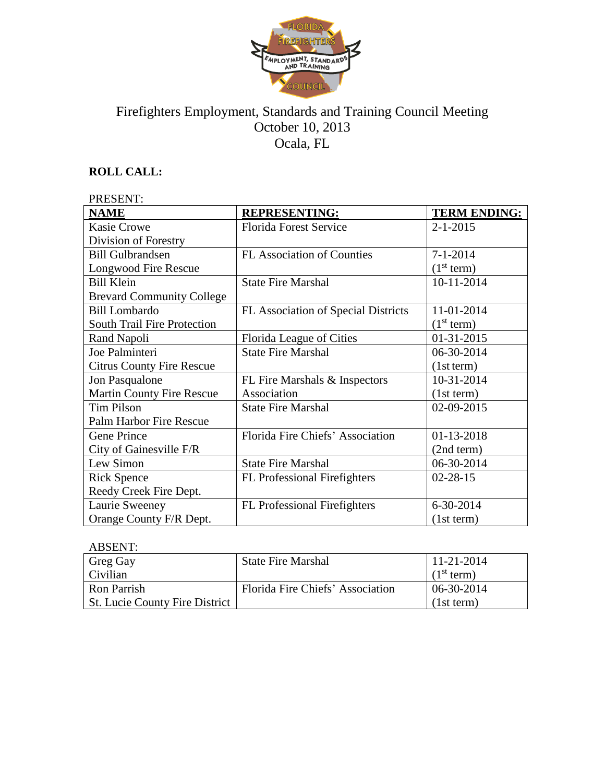

# Firefighters Employment, Standards and Training Council Meeting October 10, 2013 Ocala, FL

## **ROLL CALL:**

#### PRESENT: **NAME REPRESENTING: TERM ENDING:** Kasie Crowe Division of Forestry Florida Forest Service 2-1-2015 Bill Gulbrandsen Longwood Fire Rescue FL Association of Counties 7-1-2014  $(1<sup>st</sup> term)$ Bill Klein Brevard Community College State Fire Marshal 10-11-2014 Bill Lombardo South Trail Fire Protection FL Association of Special Districts | 11-01-2014  $(1<sup>st</sup> term)$ Rand Napoli Florida League of Cities 1 01-31-2015 Joe Palminteri Citrus County Fire Rescue State Fire Marshal (06-30-2014) (1st term) Jon Pasqualone Martin County Fire Rescue FL Fire Marshals & Inspectors Association 10-31-2014 (1st term) Tim Pilson Palm Harbor Fire Rescue State Fire Marshal 02-09-2015 Gene Prince City of Gainesville F/R Florida Fire Chiefs' Association | 01-13-2018 (2nd term) Lew Simon State Fire Marshal 106-30-2014 Rick Spence Reedy Creek Fire Dept. FL Professional Firefighters | 02-28-15 Laurie Sweeney Orange County F/R Dept. FL Professional Firefighters | 6-30-2014 (1st term)

#### ABSENT:

| Greg Gay                              | <b>State Fire Marshal</b>        | $11 - 21 - 2014$       |
|---------------------------------------|----------------------------------|------------------------|
| Civilian                              |                                  | (1 <sup>st</sup> term) |
| <b>Ron Parrish</b>                    | Florida Fire Chiefs' Association | 06-30-2014             |
| <b>St. Lucie County Fire District</b> |                                  | (1st term)             |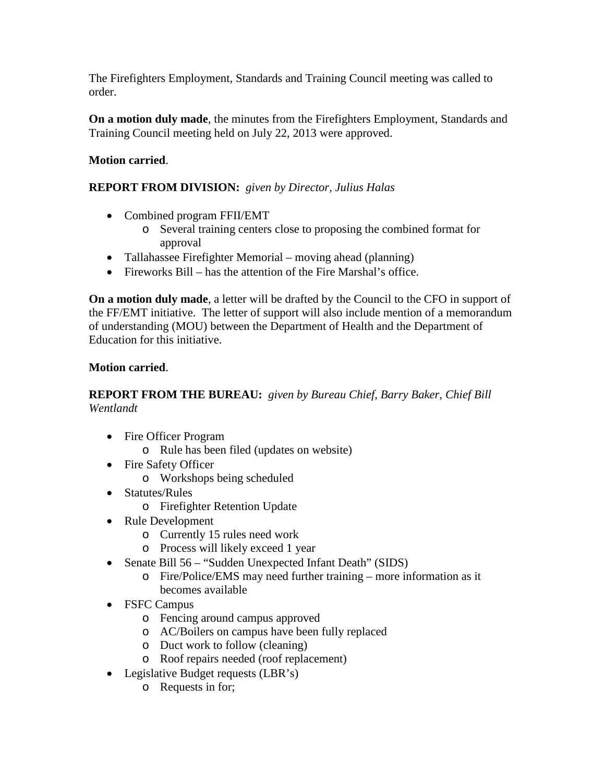The Firefighters Employment, Standards and Training Council meeting was called to order.

**On a motion duly made**, the minutes from the Firefighters Employment, Standards and Training Council meeting held on July 22, 2013 were approved.

### **Motion carried**.

### **REPORT FROM DIVISION:** *given by Director, Julius Halas*

- Combined program FFII/EMT
	- o Several training centers close to proposing the combined format for approval
- Tallahassee Firefighter Memorial moving ahead (planning)
- Fireworks Bill has the attention of the Fire Marshal's office.

**On a motion duly made**, a letter will be drafted by the Council to the CFO in support of the FF/EMT initiative. The letter of support will also include mention of a memorandum of understanding (MOU) between the Department of Health and the Department of Education for this initiative.

#### **Motion carried**.

### **REPORT FROM THE BUREAU:** *given by Bureau Chief, Barry Baker, Chief Bill Wentlandt*

- Fire Officer Program
	- o Rule has been filed (updates on website)
- Fire Safety Officer
	- o Workshops being scheduled
- Statutes/Rules
	- o Firefighter Retention Update
- Rule Development
	- o Currently 15 rules need work
	- o Process will likely exceed 1 year
- Senate Bill 56 "Sudden Unexpected Infant Death" (SIDS)
	- o Fire/Police/EMS may need further training more information as it becomes available
- FSFC Campus
	- o Fencing around campus approved
	- o AC/Boilers on campus have been fully replaced
	- o Duct work to follow (cleaning)
	- o Roof repairs needed (roof replacement)
- Legislative Budget requests (LBR's)
	- o Requests in for;